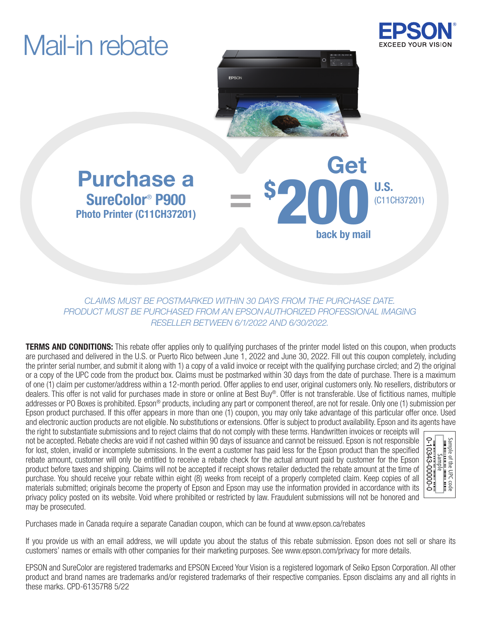# Mail-in rebate





Get

back by mail

\$ 200 U.S.

U.S.

### Purchase a SureColor® P900 Photo Printer (C11CH37201)

*CLAIMS MUST BE POSTMARKED WITHIN 30 DAYS FROM THE PURCHASE DATE. PRODUCT MUST BE PURCHASED FROM AN EPSON AUTHORIZED PROFESSIONAL IMAGING RESELLER BETWEEN 6/1/2022 AND 6/30/2022.*

=

**TERMS AND CONDITIONS:** This rebate offer applies only to qualifying purchases of the printer model listed on this coupon, when products are purchased and delivered in the U.S. or Puerto Rico between June 1, 2022 and June 30, 2022. Fill out this coupon completely, including the printer serial number, and submit it along with 1) a copy of a valid invoice or receipt with the qualifying purchase circled; and 2) the original or a copy of the UPC code from the product box. Claims must be postmarked within 30 days from the date of purchase. There is a maximum of one (1) claim per customer/address within a 12-month period. Offer applies to end user, original customers only. No resellers, distributors or dealers. This offer is not valid for purchases made in store or online at Best Buy®. Offer is not transferable. Use of fictitious names, multiple addresses or PO Boxes is prohibited. Epson® products, including any part or component thereof, are not for resale. Only one (1) submission per Epson product purchased. If this offer appears in more than one (1) coupon, you may only take advantage of this particular offer once. Used and electronic auction products are not eligible. No substitutions or extensions. Offer is subject to product availability. Epson and its agents have

the right to substantiate submissions and to reject claims that do not comply with these terms. Handwritten invoices or receipts will not be accepted. Rebate checks are void if not cashed within 90 days of issuance and cannot be reissued. Epson is not responsible for lost, stolen, invalid or incomplete submissions. In the event a customer has paid less for the Epson product than the specified rebate amount, customer will only be entitled to receive a rebate check for the actual amount paid by customer for the Epson product before taxes and shipping. Claims will not be accepted if receipt shows retailer deducted the rebate amount at the time of purchase. You should receive your rebate within eight (8) weeks from receipt of a properly completed claim. Keep copies of all materials submitted; originals become the property of Epson and Epson may use the information provided in accordance with its privacy policy posted on its website. Void where prohibited or restricted by law. Fraudulent submissions will not be honored and may be prosecuted.



Purchases made in Canada require a separate Canadian coupon, which can be found at www.epson.ca/rebates

If you provide us with an email address, we will update you about the status of this rebate submission. Epson does not sell or share its customers' names or emails with other companies for their marketing purposes. See www.epson.com/privacy for more details.

EPSON and SureColor are registered trademarks and EPSON Exceed Your Vision is a registered logomark of Seiko Epson Corporation. All other product and brand names are trademarks and/or registered trademarks of their respective companies. Epson disclaims any and all rights in these marks. CPD-61357R8 5/22